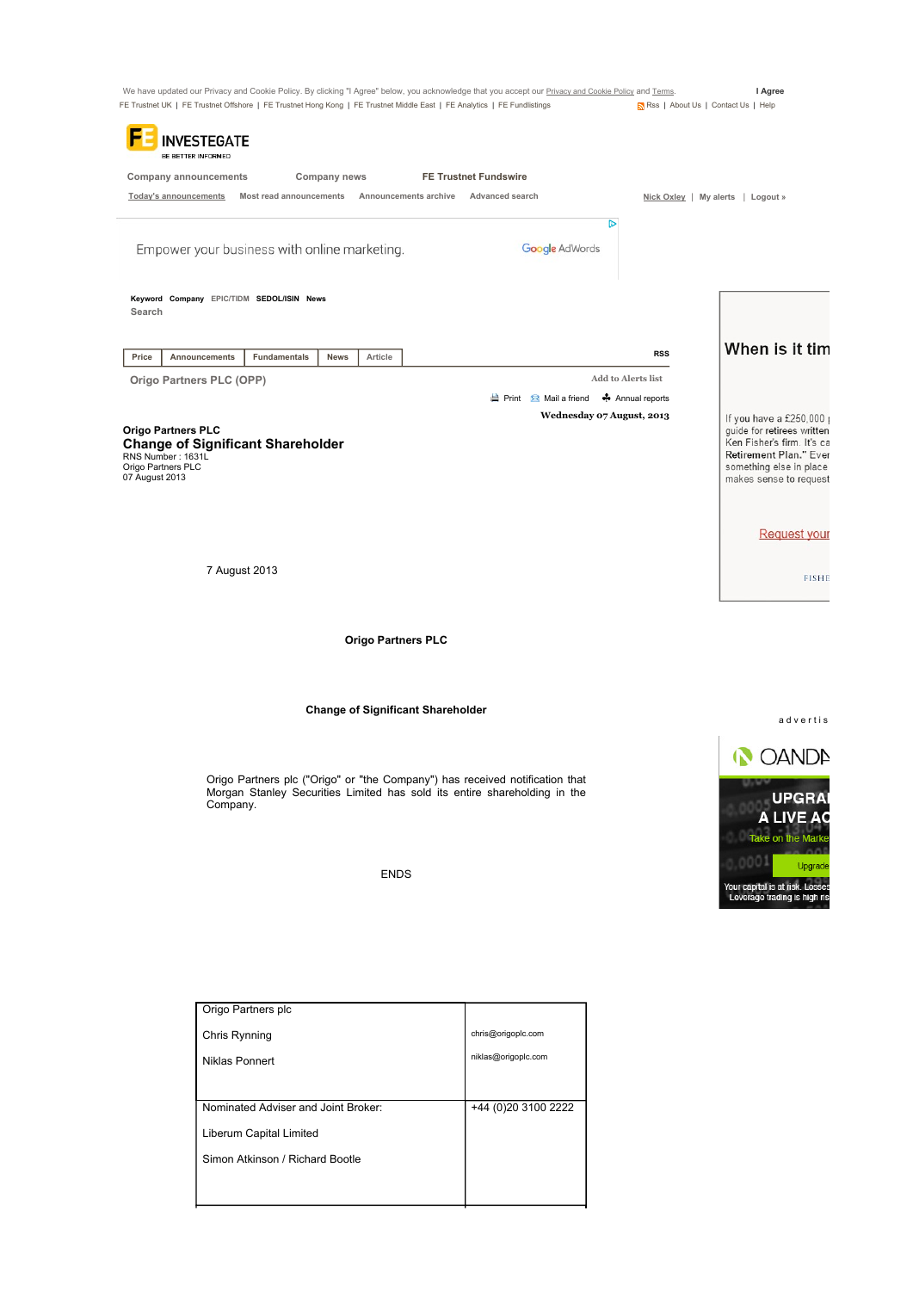|                                         | INVESTEGATE<br>BE BETTER INFORMED            |              |                                          |                                                                                                                                                           |                                             |                                                                 |
|-----------------------------------------|----------------------------------------------|--------------|------------------------------------------|-----------------------------------------------------------------------------------------------------------------------------------------------------------|---------------------------------------------|-----------------------------------------------------------------|
|                                         | <b>Company announcements</b>                 | Company news |                                          | <b>FE Trustnet Fundswire</b>                                                                                                                              |                                             |                                                                 |
| <b>Today's announcements</b>            | Most read announcements                      |              | Announcements archive                    | Advanced search                                                                                                                                           |                                             | Nick Oxley   My alerts   Logout »                               |
|                                         |                                              |              |                                          |                                                                                                                                                           | D                                           |                                                                 |
|                                         | Empower your business with online marketing. |              |                                          | Google AdWords                                                                                                                                            |                                             |                                                                 |
|                                         |                                              |              |                                          |                                                                                                                                                           |                                             |                                                                 |
| Search                                  | Keyword Company EPIC/TIDM SEDOL/ISIN News    |              |                                          |                                                                                                                                                           |                                             |                                                                 |
|                                         |                                              |              |                                          |                                                                                                                                                           |                                             | When is it tim                                                  |
| Price                                   | <b>Fundamentals</b><br>Announcements         | News         | Article                                  |                                                                                                                                                           | <b>RSS</b>                                  |                                                                 |
|                                         | Origo Partners PLC (OPP)                     |              |                                          | <b>E</b> Print <b>E</b> Mail a friend                                                                                                                     | <b>Add to Alerts list</b><br>Annual reports |                                                                 |
|                                         |                                              |              |                                          | Wednesday 07 August, 2013                                                                                                                                 |                                             | If you have a £250,000 $\mu$                                    |
| <b>Origo Partners PLC</b>               | <b>Change of Significant Shareholder</b>     |              |                                          |                                                                                                                                                           |                                             | guide for retirees written<br>Ken Fisher's firm. It's ca        |
| RNS Number: 1631L<br>Origo Partners PLC |                                              |              |                                          |                                                                                                                                                           |                                             | Retirement Plan." Ever<br>something else in place               |
| 07 August 2013                          |                                              |              |                                          |                                                                                                                                                           |                                             | makes sense to request                                          |
|                                         |                                              |              |                                          |                                                                                                                                                           |                                             |                                                                 |
|                                         |                                              |              |                                          |                                                                                                                                                           |                                             | <b>Request your</b>                                             |
|                                         |                                              |              |                                          |                                                                                                                                                           |                                             |                                                                 |
|                                         | 7 August 2013                                |              |                                          |                                                                                                                                                           |                                             |                                                                 |
|                                         |                                              |              |                                          |                                                                                                                                                           |                                             |                                                                 |
|                                         |                                              |              | <b>Origo Partners PLC</b>                |                                                                                                                                                           |                                             | <b>FISHE</b>                                                    |
|                                         |                                              |              | <b>Change of Significant Shareholder</b> |                                                                                                                                                           |                                             |                                                                 |
|                                         |                                              |              |                                          |                                                                                                                                                           |                                             | advertis                                                        |
|                                         |                                              |              |                                          |                                                                                                                                                           |                                             | <b>OANDA</b>                                                    |
|                                         |                                              |              |                                          | Origo Partners plc ("Origo" or "the Company") has received notification that<br>Morgan Stanley Securities Limited has sold its entire shareholding in the |                                             | <b>U<sub>I</sub>UV</b>                                          |
|                                         | Company.                                     |              |                                          |                                                                                                                                                           |                                             | <b>UPGRA</b><br>A LIVE AC                                       |
|                                         |                                              |              |                                          |                                                                                                                                                           |                                             | Take on the Marke                                               |
|                                         |                                              |              | <b>ENDS</b>                              |                                                                                                                                                           |                                             | 0001<br>Upgrade                                                 |
|                                         |                                              |              |                                          |                                                                                                                                                           |                                             | Your capital is at risk. Losses<br>Leverage trading is high ris |
|                                         |                                              |              |                                          |                                                                                                                                                           |                                             |                                                                 |
|                                         |                                              |              |                                          |                                                                                                                                                           |                                             |                                                                 |
|                                         |                                              |              |                                          |                                                                                                                                                           |                                             |                                                                 |
|                                         | Origo Partners plc                           |              |                                          |                                                                                                                                                           |                                             |                                                                 |
|                                         | Chris Rynning                                |              |                                          | chris@origoplc.com                                                                                                                                        |                                             |                                                                 |
|                                         | Niklas Ponnert                               |              |                                          | niklas@origoplc.com                                                                                                                                       |                                             |                                                                 |
|                                         |                                              |              |                                          |                                                                                                                                                           |                                             |                                                                 |
|                                         | Nominated Adviser and Joint Broker:          |              |                                          | +44 (0) 20 3100 2222                                                                                                                                      |                                             |                                                                 |

Simon Atkinson / Richard Bootle